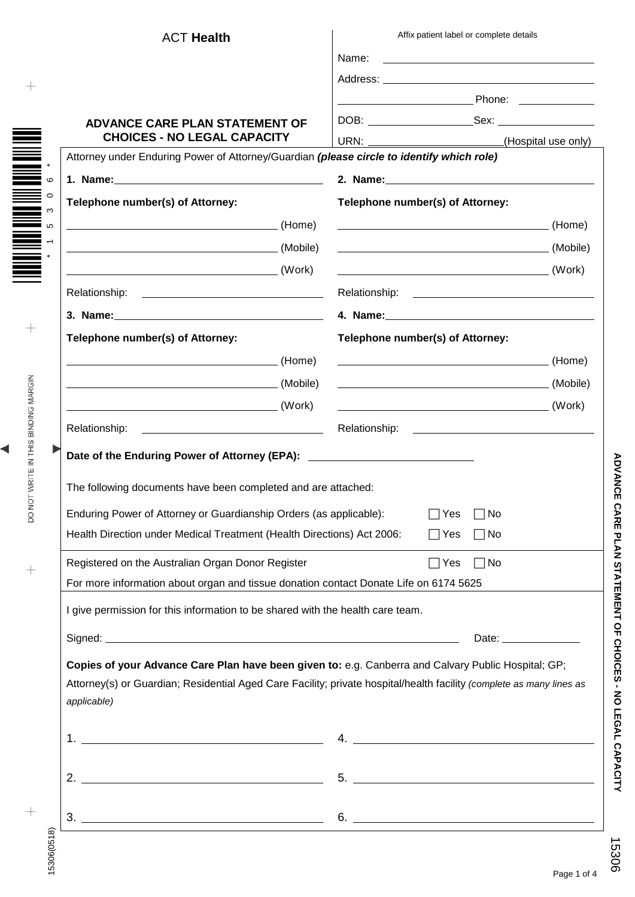|                                                                                       | <b>ACT Health</b>                                                                                              | Affix patient label or complete details                                                                              |  |
|---------------------------------------------------------------------------------------|----------------------------------------------------------------------------------------------------------------|----------------------------------------------------------------------------------------------------------------------|--|
|                                                                                       |                                                                                                                | Name:<br><u> 1989 - Andrea Stadt Britain, amerikansk politiker (</u>                                                 |  |
|                                                                                       |                                                                                                                |                                                                                                                      |  |
|                                                                                       |                                                                                                                |                                                                                                                      |  |
|                                                                                       | <b>ADVANCE CARE PLAN STATEMENT OF</b>                                                                          |                                                                                                                      |  |
| <b>CHOICES - NO LEGAL CAPACITY</b>                                                    |                                                                                                                | (Hospital use only)                                                                                                  |  |
|                                                                                       | Attorney under Enduring Power of Attorney/Guardian (please circle to identify which role)                      |                                                                                                                      |  |
|                                                                                       | 1. Name: 1. 2008. 2010. 2010. 2010. 2010. 2012. 2012. 2012. 2012. 2012. 2012. 2014. 2014. 2014. 2014. 2014. 20 |                                                                                                                      |  |
|                                                                                       | Telephone number(s) of Attorney:                                                                               | Telephone number(s) of Attorney:                                                                                     |  |
|                                                                                       |                                                                                                                |                                                                                                                      |  |
|                                                                                       |                                                                                                                |                                                                                                                      |  |
|                                                                                       |                                                                                                                |                                                                                                                      |  |
|                                                                                       |                                                                                                                |                                                                                                                      |  |
|                                                                                       |                                                                                                                |                                                                                                                      |  |
|                                                                                       | Telephone number(s) of Attorney:                                                                               | Telephone number(s) of Attorney:                                                                                     |  |
|                                                                                       | (Home) (Home)                                                                                                  |                                                                                                                      |  |
|                                                                                       |                                                                                                                |                                                                                                                      |  |
|                                                                                       |                                                                                                                |                                                                                                                      |  |
|                                                                                       | <u> 1980 - Johann Barbara, martxa eta idazlea (h. 1980).</u><br>Relationship:                                  |                                                                                                                      |  |
|                                                                                       |                                                                                                                |                                                                                                                      |  |
|                                                                                       | Date of the Enduring Power of Attorney (EPA): __________________________________                               |                                                                                                                      |  |
|                                                                                       | The following documents have been completed and are attached:                                                  |                                                                                                                      |  |
|                                                                                       | Enduring Power of Attorney or Guardianship Orders (as applicable):                                             | ⊺No<br>Yes                                                                                                           |  |
|                                                                                       | Health Direction under Medical Treatment (Health Directions) Act 2006:                                         | $\Box$ Yes<br>$\Box$ No                                                                                              |  |
|                                                                                       |                                                                                                                |                                                                                                                      |  |
|                                                                                       | Registered on the Australian Organ Donor Register                                                              | $\Box$ No<br>$\Box$ Yes                                                                                              |  |
| For more information about organ and tissue donation contact Donate Life on 6174 5625 |                                                                                                                |                                                                                                                      |  |
|                                                                                       | I give permission for this information to be shared with the health care team.                                 |                                                                                                                      |  |
|                                                                                       |                                                                                                                | Date: ________________                                                                                               |  |
|                                                                                       |                                                                                                                | Copies of your Advance Care Plan have been given to: e.g. Canberra and Calvary Public Hospital; GP;                  |  |
|                                                                                       |                                                                                                                | Attorney(s) or Guardian; Residential Aged Care Facility; private hospital/health facility (complete as many lines as |  |
|                                                                                       | applicable)                                                                                                    |                                                                                                                      |  |
|                                                                                       |                                                                                                                |                                                                                                                      |  |
|                                                                                       | 1. <u>__________________________________</u>                                                                   | 4.                                                                                                                   |  |
|                                                                                       |                                                                                                                |                                                                                                                      |  |
|                                                                                       |                                                                                                                |                                                                                                                      |  |
|                                                                                       |                                                                                                                |                                                                                                                      |  |
|                                                                                       |                                                                                                                | $6.$ $\overline{\phantom{a}}$                                                                                        |  |

◀

15306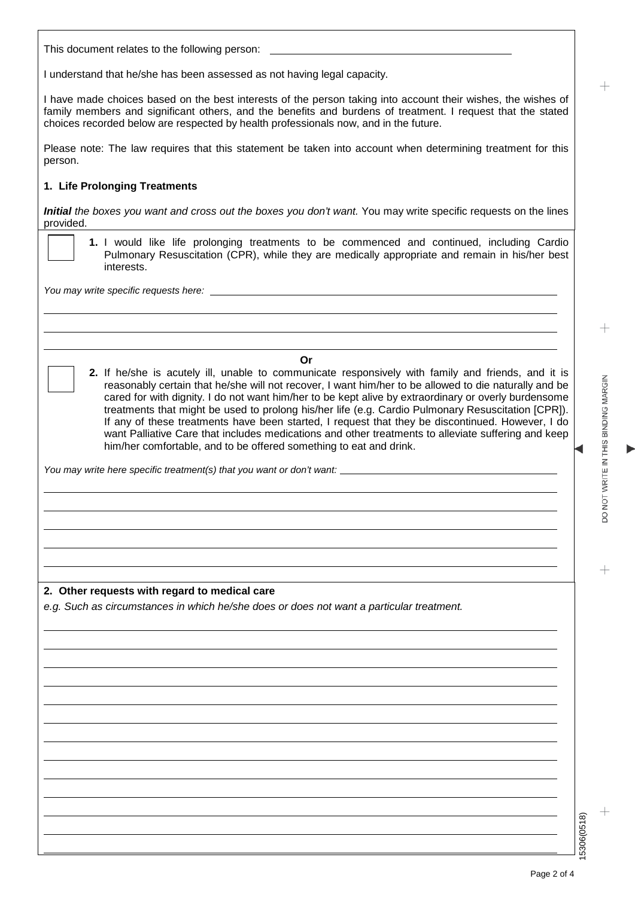This document relates to the following person:

I understand that he/she has been assessed as not having legal capacity.

I have made choices based on the best interests of the person taking into account their wishes, the wishes of family members and significant others, and the benefits and burdens of treatment. I request that the stated choices recorded below are respected by health professionals now, and in the future.

Please note: The law requires that this statement be taken into account when determining treatment for this person.

#### **1. Life Prolonging Treatments**

*Initial the boxes you want and cross out the boxes you don't want.* You may write specific requests on the lines provided.

**1.** I would like life prolonging treatments to be commenced and continued, including Cardio Pulmonary Resuscitation (CPR), while they are medically appropriate and remain in his/her best interests.

*You may write specific requests here:*

**Or**

**2.** If he/she is acutely ill, unable to communicate responsively with family and friends, and it is reasonably certain that he/she will not recover, I want him/her to be allowed to die naturally and be cared for with dignity. I do not want him/her to be kept alive by extraordinary or overly burdensome treatments that might be used to prolong his/her life (e.g. Cardio Pulmonary Resuscitation [CPR]). If any of these treatments have been started, I request that they be discontinued. However, I do want Palliative Care that includes medications and other treatments to alleviate suffering and keep him/her comfortable, and to be offered something to eat and drink.

*You may write here specific treatment(s) that you want or don't want:*

### **2. Other requests with regard to medical care**

*e.g. Such as circumstances in which he/she does or does not want a particular treatment.*

15306(0518)

5306(0518)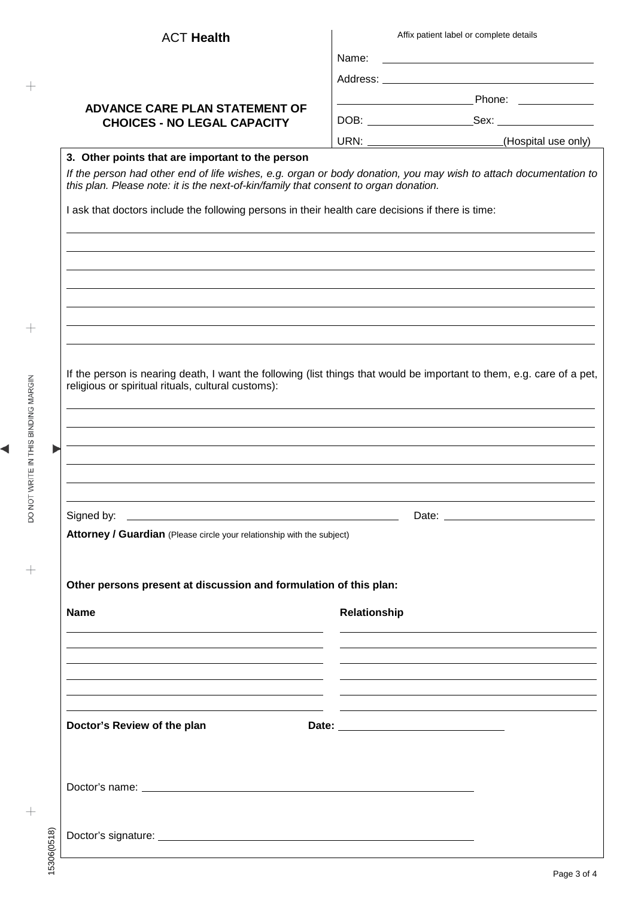| Affix patient label or complete details                                                                                                                                                                                                                                                                       |                                                                                                                                                                                                                               |  |  |  |
|---------------------------------------------------------------------------------------------------------------------------------------------------------------------------------------------------------------------------------------------------------------------------------------------------------------|-------------------------------------------------------------------------------------------------------------------------------------------------------------------------------------------------------------------------------|--|--|--|
|                                                                                                                                                                                                                                                                                                               |                                                                                                                                                                                                                               |  |  |  |
|                                                                                                                                                                                                                                                                                                               |                                                                                                                                                                                                                               |  |  |  |
|                                                                                                                                                                                                                                                                                                               |                                                                                                                                                                                                                               |  |  |  |
|                                                                                                                                                                                                                                                                                                               |                                                                                                                                                                                                                               |  |  |  |
|                                                                                                                                                                                                                                                                                                               |                                                                                                                                                                                                                               |  |  |  |
|                                                                                                                                                                                                                                                                                                               | URN: _________________________(Hospital use only)                                                                                                                                                                             |  |  |  |
| If the person had other end of life wishes, e.g. organ or body donation, you may wish to attach documentation to<br>this plan. Please note: it is the next-of-kin/family that consent to organ donation.<br>I ask that doctors include the following persons in their health care decisions if there is time: |                                                                                                                                                                                                                               |  |  |  |
|                                                                                                                                                                                                                                                                                                               |                                                                                                                                                                                                                               |  |  |  |
| If the person is nearing death, I want the following (list things that would be important to them, e.g. care of a pet,<br>religious or spiritual rituals, cultural customs):                                                                                                                                  |                                                                                                                                                                                                                               |  |  |  |
|                                                                                                                                                                                                                                                                                                               |                                                                                                                                                                                                                               |  |  |  |
| <u> 1989 - Andrea Barbara, amerikan personal (h. 1989).</u>                                                                                                                                                                                                                                                   |                                                                                                                                                                                                                               |  |  |  |
| Attorney / Guardian (Please circle your relationship with the subject)                                                                                                                                                                                                                                        |                                                                                                                                                                                                                               |  |  |  |
| Other persons present at discussion and formulation of this plan:                                                                                                                                                                                                                                             |                                                                                                                                                                                                                               |  |  |  |
|                                                                                                                                                                                                                                                                                                               |                                                                                                                                                                                                                               |  |  |  |
| Relationship                                                                                                                                                                                                                                                                                                  |                                                                                                                                                                                                                               |  |  |  |
| <u> 1989 - Andrea Stadt Britain, amerikansk politik (d. 1989)</u>                                                                                                                                                                                                                                             |                                                                                                                                                                                                                               |  |  |  |
| <u> 1989 - Johann Barn, mars et al. (b. 1989)</u><br><u> 1989 - Johann Stoff, amerikansk politiker (* 1908)</u>                                                                                                                                                                                               | <u> 1989 - Johann Stoff, amerikansk politiker (* 1908)</u>                                                                                                                                                                    |  |  |  |
| <u> 1989 - Johann Stoff, amerikansk politiker (d. 1989)</u>                                                                                                                                                                                                                                                   |                                                                                                                                                                                                                               |  |  |  |
|                                                                                                                                                                                                                                                                                                               |                                                                                                                                                                                                                               |  |  |  |
|                                                                                                                                                                                                                                                                                                               | the control of the control of the control of the control of the control of the control of the control of the control of the control of the control of the control of the control of the control of the control of the control |  |  |  |
|                                                                                                                                                                                                                                                                                                               |                                                                                                                                                                                                                               |  |  |  |
|                                                                                                                                                                                                                                                                                                               |                                                                                                                                                                                                                               |  |  |  |
|                                                                                                                                                                                                                                                                                                               |                                                                                                                                                                                                                               |  |  |  |
|                                                                                                                                                                                                                                                                                                               |                                                                                                                                                                                                                               |  |  |  |

DO NOT WRITE IN THIS BINDING MARGIN

 $\! +$ 

 $\! + \!$